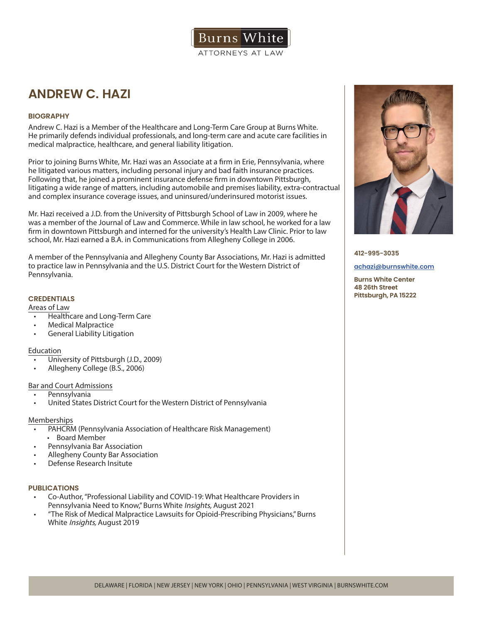

# **ANDREW C. HAZI**

### **BIOGRAPHY**

Andrew C. Hazi is a Member of the Healthcare and Long-Term Care Group at Burns White. He primarily defends individual professionals, and long-term care and acute care facilities in medical malpractice, healthcare, and general liability litigation.

Prior to joining Burns White, Mr. Hazi was an Associate at a firm in Erie, Pennsylvania, where he litigated various matters, including personal injury and bad faith insurance practices. Following that, he joined a prominent insurance defense firm in downtown Pittsburgh, litigating a wide range of matters, including automobile and premises liability, extra-contractual and complex insurance coverage issues, and uninsured/underinsured motorist issues.

Mr. Hazi received a J.D. from the University of Pittsburgh School of Law in 2009, where he was a member of the Journal of Law and Commerce. While in law school, he worked for a law firm in downtown Pittsburgh and interned for the university's Health Law Clinic. Prior to law school, Mr. Hazi earned a B.A. in Communications from Allegheny College in 2006.

A member of the Pennsylvania and Allegheny County Bar Associations, Mr. Hazi is admitted to practice law in Pennsylvania and the U.S. District Court for the Western District of Pennsylvania.

## **CREDENTIALS**

Areas of Law

- Healthcare and Long-Term Care
- Medical Malpractice
- General Liability Litigation

#### Education

- University of Pittsburgh (J.D., 2009)
- Allegheny College (B.S., 2006)

#### Bar and Court Admissions

- Pennsylvania
- United States District Court for the Western District of Pennsylvania

#### Memberships

- PAHCRM (Pennsylvania Association of Healthcare Risk Management)
- Board Member
- Pennsylvania Bar Association
- Allegheny County Bar Association
- Defense Research Insitute

#### **PUBLICATIONS**

- Co-Author, "Professional Liability and COVID-19: What Healthcare Providers in Pennsylvania Need to Know," Burns White Insights, August 2021
- "The Risk of Medical Malpractice Lawsuits for Opioid-Prescribing Physicians," Burns White Insights, August 2019



**412-995-3035**

#### **achazi@burnswhite.com**

**Burns White Center 48 26th Street Pittsburgh, PA 15222**